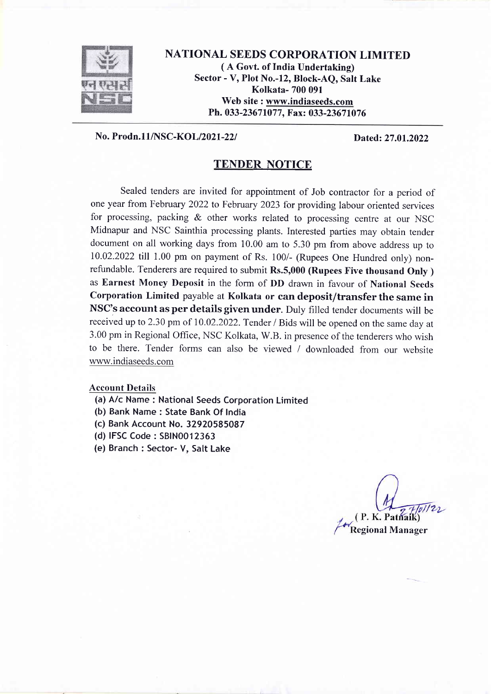

NATIONAL SEEDS CORPORATION LIMITED ( A Govt. of India Undertaking) Sector - V, Plot No.-12, Block-AQ, Salt Lake Kolkata- 700 091 Web site : www.indiaseeds.com Ph. 033-23671077, Fax: 033-23671076

#### No. Prodn. 11/NSC-KOL/2021-22/ Dated: 27.01.2022

#### TENDER NOTICE

Sealed tenders are invited for appointment of Job contractor for a period of one year from February 2022 to February 2023 for providing labour oriented services for processing, packing & other works related to processing centre at our NSC Midnapur and NSC Sainthia processing plants. Interested parties may obtain tender document on all working days from 10.00 am to 5.30 pm from above address up to 10.02.2022 till 1.00 pm on payment of Rs. 100/- (Rupees one Hundred only) nonrefundable. Tenderers are required to submit Rs.5,000 (Rupees Five thousand Only) as Earnest Money Deposit in the form of DD drawn in favour of National Seeds Corporation Limited payable at Kolkata or can deposit/transfer the same in NSC's account as per details given under. Duly filled tender documents will be received up to 2.30 pm of I0.02.2022. Tender / Bids will be opened on the same day at 3.00 pm in Regional Office, NSC Kolkata, W.B. in presence of the tenderers who wish to be there. Tender forms can also be viewed / downloaded from our website www.indiaseeds.com

#### Account Details

- (a) A/c Name : National Seeds Corporation Limited
- (b) Bank Name : State Bank Of India
- (c) Bank Account No. 32920585087
- (d) IFSC Code : SB1N0012363
- (e) Branch : Sector- V, Salt Lake

Regional Manager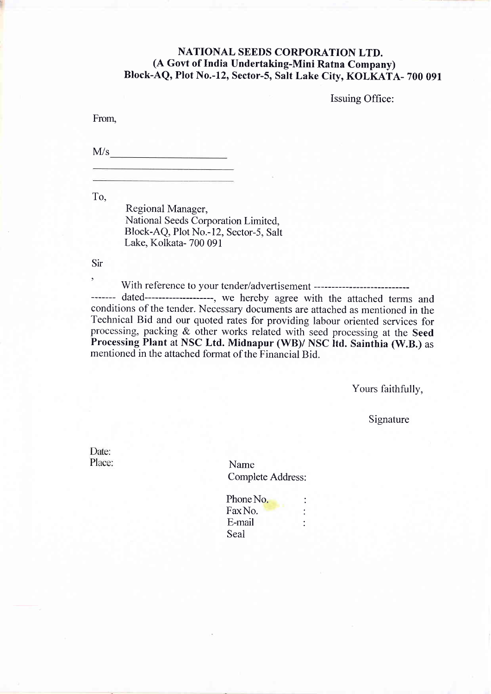### NATIONAL SEEDS CORPORATION LTD. (A Govt of India Undertaking-Mini Ratna Company) Block-AQ, Plot No.-12, Sector-S, SaIt Lake City, KOLKATA- 700 091

Issuing Office:

From.

 $M/s$ 

To,

Regional Manager, National Seeds Corporation Limited, Block-AQ, Plot No.-12, Sector-5, Salt Lake. Kolkata- 700 091

Sir

' With reference to your tender/advertisement ------- dated-------------------, we hereby agree with the attached terms and conditions of the tender. Necessary documents are attached as mentioned in the Technical Bid and our quoted rates for providing labour oriented services for processing, packing & other works related with seed processing at the Seed Processing Plant at NSC Ltd. Midnapur (WB)/ NSC ltd. Sainthia (W.B.) as mentioned in the attached format of the Financial Bid.

Yours faithfully,

Signature

Date: Place:

Name Complete Address:

Phone No. FaxNo. : E-mail : Seal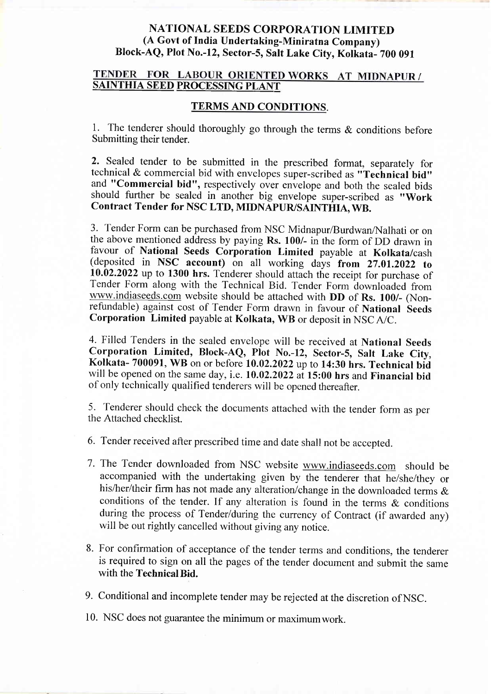## NATIONAL SEEDS CORPORATION LIMITED (A Govt of India Undertaking-Miniratna Company) BIock-AQ, Plot No.-12, sector-S, salt Lake city, Kolkata- 700 <sup>091</sup>

# TENDER FOR LABOUR ORIENTED WORKS AT MIDNAPUR /<br>SAINTHIA SEED PROCESSING PLANT

#### TERMS AND CONDITIONS.

1. The tenderer should thoroughly go through the terms & conditions before Submitting their tender.

2. Sealed tender to be submitted in the prescribed format, separately for technical & commercial bid with envelopes super-scribed as "Technical bid" and "Commercial bid", respectively over envelope and both the sealed bids should further be sealed in another big envelope super-scribed as "Work Contract Tender for NSC LTD, MIDNAPUR/SAINTHIA, Wn.

3. Tender Form can be purchased from NSC Midnapur/Burdwan/Nalhati or on the above mentioned address by paying Rs. 100/- in the form of DD drawn in favour of National Seeds Corporation Limited payable at Kolkata/cash (deposited in NSC account) on all working days from  $27.01.2022$  to 10.02.2022 up to 1300 hrs. Tenderer should attach the receipt for purchase of Tender Form along with the Technical Bid. Tender Form downloaded from wWw.indiaseeds.com website should be attached with DD of Rs. 100/- (Nonrefundable) against cost of Tender Form drawn in favour of National Seeds Corporation Limited payable at Kolkata, wB or deposit in NSCA/c.

4. Filled Tenders in the sealed envelope will be received at National Seeds Corporation Limited, Block-AQ, Plot No.-12, Sector-S, Salt Lake City, Kolkata- 700091, WB on or before 10.02.2022 up to 14:30 hrs. Technical bid will be opened on the same day, i.e. 10.02.2022 at 15:00 hrs and Financial bid of only technically qualified tenderers will be opened thereafter.

5. Tenderer should check the documents attached with the tender form as per the Attached checklist.

6. Tender received after prescribed time and date shall not be accepted.

- 7. The Tender downloaded from NSC website www.indiaseeds.com should be accompanied with the undertaking given by the tenderer that he/she/they or his/her/their firm has not made any alteration/change in the downloaded terms & conditions of the tender. If any alteration is found in the terms & conditions during the process of Tender/during the currency of Contract (if awarded any) will be out rightly cancelled without giving any notice.
- 8. For confirmation of acceptance of the tender terms and conditions, the tenderer is required to sign on all the pages of the tender document and submit the same with the Technical Bid.

9. Conditional and incomplete tender may be rejected at the discretion ofNSC.

10. NSC does not guarantee the minimum or maximumwork.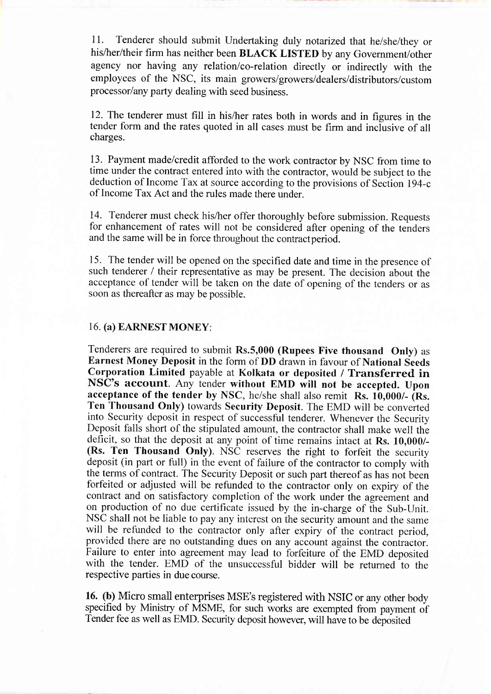11. Tenderer should submit Undertaking duly notarized that he/she/they or his/her/their firm has neither been BLACK LISTED by any Government/other agency nor having any relation/co-relation directly or indirectly with the employees of the NSC, its main growers/growers/dealers/distributors/custom processor/any party dealing with seed business.

12. The tenderer must fill in his/her rates both in words and in figures in the tender form and the rates quoted in all cases must be firm and incfusive of all charges.

13. Payment made/credit afforded to the work contractor by NSC from time to time under the contract entered into with the contractor, would be subject to the deduction of Income Tax at source according to the provisions of Section 194-c of Income Tax Act and the rules made there under.

14. Tenderer must check his/her offer thoroughly before submission. Requests for enhancement of rates will not be considered after opening of the tehders and the same will be in force throughout the contract period.

15. The tender will be opened on the specified date and time in the presence of such tenderer / their representative as may be present. The decision about the acceptance of tender will be taken on the date of opening of the tenders or as soon as thereafter as may be possible.

#### 16. (a) EARNESTMONEY:

Tenderers are required to submit  $Rs.5,000$  (Rupees Five thousand Only) as Earnest Money Deposit in the form of DD drawn in favour of National Seeds Corporation Limited payable at Kolkata or deposited / Transferred in NSC's account. Any tender without EMD will not be accepted. Upon acceptance of the tender by NSC, he/she shall also remit Rs. 10,000/- (Rs. Ten Thousand Only) towards Security Deposit. The EMD will be converted into Security deposit in respect of successful tenderer. Whenever the Security Deposit falls short of the stipulated amount, the contractor shall make well the deficit, so that the deposit at any point of time remains intact at Rs. 10,000/- (Rs. Ten Thousand Only). NSC reserves the right to forfeit the security deposit (in part or full) in the event of failure of the contractor to comply with the terms of contract. The Security Deposit or such part thereof as has not been forfeited or adjusted will be refunded to the contractor only on expiry of the contract and on satisfactory completion of the work under the agreement and on production of no due certificate issued by the in-charge of the Sub-Unit. will be refunded to the contractor only after expiry of the contract period, provided there are no outstanding dues on any account against the contractor. Failure to enter into agreement may lead to forfeiture of the EMD deposited with the tender. EMD of the unsuccessful bidder will be returned to the respective parties in due course.

16. (b) Micro small enterprises MSE's registered with NSIC or any other body specified by Ministry of MSME, for such works are exempted from payment of Tender fee as well as EMD. Security deposit however, will have to be deposited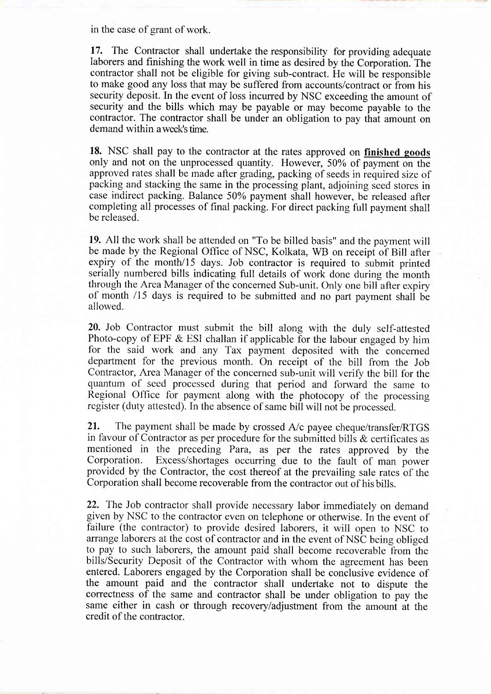in the case of grant of work.

17. The Contractor shall undertake the responsibility for providing adequate laborers and finishing the work well in time as desired by the Corporation. The contractor shall not be eligible for giving sub-contract. He will be responsible to make good any loss that may be suffered from accounts/contract or from his security deposit. In the event of loss incurred by NSC exceeding the amount of security and the bills which may be payable or may become payable to the contractor. The contractor shall be under an obligation to pay that amount on demand within a week's time.

18. NSC shall pay to the contractor at the rates approved on finished goods only and not on the unprocessed quantity. However, 50% of payment on the approved rates shall be made after grading, packing of seeds in required size of packing and stacking the same in the processing plant, adjoining seed stores in case indirect packing. Balance 50% payment shall however, be released after completing all processes of final packing. For direct packing full payment shall be released.

19. All the work shall be attended on "To be billed basis" and the payment will be made by the Regional Office of NSC, Kolkata, WB on receipt of Bill after expiry of the month/I5 days. Job contractor is required to submit printed serially numbered bills indicating full details of work done during the month through the Area Manager of the concerned Sub-unit. Only one bill after expiry of month /15 days is required to be submitted and no part payment shall be allowed.

20. Job Contractor must submit the bill along with the duly self-attested Photo-copy of EPF & ESI challan if applicable for the labour engaged by him for the said work and any Tax payment deposited with the concerned department for the previous month. On receipt of the bill from the Job Contractor, Area Manager of the concerned sub-unit will verify the bill for the quantum of seed processed during that period and forward the same to Regional office for payment along with the photocopy of the processing register (duty attested). In the absence of same bill will not be processed.

21. The payment shall be made by crossed  $A/c$  payee cheque/transfer/RTGS in favour of Contractor as per procedure for the submitted bills & certificates as mentioned in the preceding Para, as per the rates approved by the Corporation. Excess/shortages occurring due to the fault of man nower Excess/shortages occurring due to the fault of man power provided by the Contractor, the cost thereof at the prevailing sale rates of the Corporation shall become recoverable from the contractor out of hisbills.

22. The Job contractor shall provide necessary labor immediately on demand given by NSC to the contractor even on telephone or otherwise. In the event of failure (the contractor) to provide desired laborers, it will open to NSC to arrange laborers at the cost of contractor and in the event of NSC being obliged to pay to such laborers, the amount paid shall become recoverable from the bills/Security Deposit of the Contractor with whom the agreement has been entered. Laborers engaged by the Corporation shall be conclusive evidence of the amount paid and the contractor shall undertake not to dispute the correctness of the same and contractor shall be under obligation to pay the same either in cash or through recoveryladjustment from the amount at the credit of the contractor.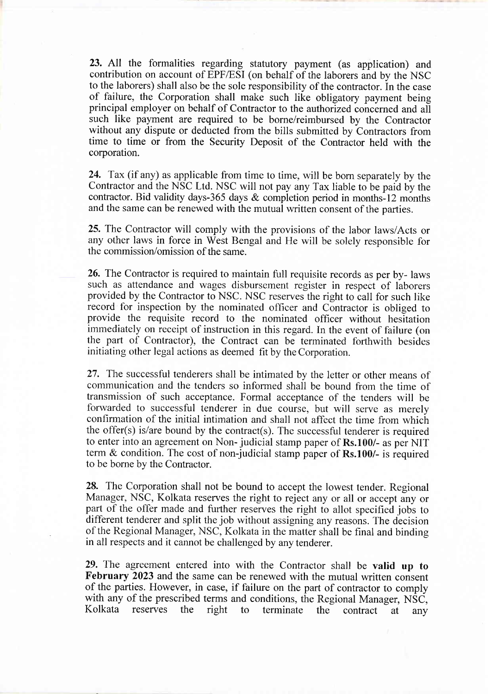23. All the formalities regarding statutory payment (as application) and contribution on account of EPF/ESI (on behalf of the laborers and by the NSC to the laborers) shall also be the sole responsibility of the contractor. In the case of failure, the Corporation shall make such like obligatory payment being principal employer on behalf of Contractor to the authorized concerned and all such like payment are required to be borne/reimbursed by the Contractor without any dispute or deducted from the bills submitted by Contractors from time to time or from the Security Deposit of the Contractor held with the corporation.

24. Tax (if any) as applicable from time to time, will be born separately by the Contractor and the NSC Ltd. NSC will not pay any Tax liable to be paid by the contractor. Bid validity days-365 days & completion period in months-12 months and the same can be renewed with the mutual written consent of the parties.

25. The Contractor will comply with the provisions of the labor laws/Acts or any other laws in force in West Bengal and He will be solely responsible for the commission/omission of the same.

26. The Contractor is required to maintain full requisite records as per by- laws such as attendance and wages disbursement register in respect of laborers provided by the Contractor to NSC. NSC reserves the right to call for such like record for inspection by the nominated officer and Contractor is obliged to provide the requisite record to the nominated officer without hesitation immediately on receipt of instruction in this regard. In the event of failure (on the part of Contractor), the Contract can be terminated forthwith besides initiating other legal actions as deemed fit by the Corporation.

27. The successful tenderers shall be intimated by the letter or other means of communication and the tenders so informed shall be bound from the time of transmission of such acceptance. Formal acceptance of the tenders will be forwarded to successful tenderer in due course, but will serve as merely confirmation of the initial intimation and shall not affect the time from which the offer(s) is/are bound by the contract(s). The successful tenderer is required to enter into an agreement on Non- judicial stamp paper of Rs.100/- as per NIT term & condition. The cost of non-judicial stamp paper of Rs.100/- is required to be borne by the Contractor.

28. The Corporation shall not be bound to accept the lowest tender. Regional Manager, NSC, Kolkata reserves the right to reject any or all or accept any or part of the offer made and further reserves the right to allot specified jobs to different tenderer and split the job without assigning any reasons. The decision of the Regional Manager, NSC, Kolkata in the matter shall be final and binding in all respects and it cannot be challenged by any tenderer.

29. The agreement entered into with the Contractor shall be valid up to February 2023 and the same can be renewed with the mutual written consent of the parties. However, in case, if failure on the part of contractor to comply with any of the prescribed terms and conditions, the Regional Manager,  $\overrightarrow{\text{NSC}}$ , Kolkata reserves the right to terminate the contract at any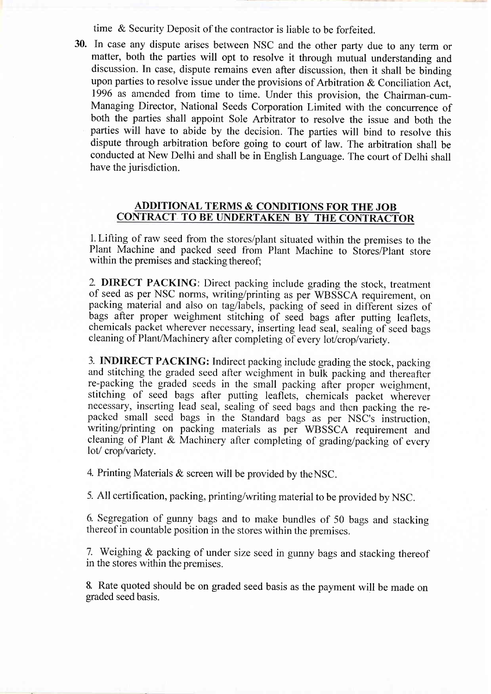time & Security Deposit of the contractor is liable to be forfeited.

30. In case any dispute arises between NSC and the other party due to any term or matter, both the parties will opt to resolve it through mutual understanding and discussion. In case, dispute remains even after discussion, then it shall be binding upon parties to resolve issue under the provisions of Arbitration & Conciliation Act, 1996 as amended from time to time. Under this provision, the Chairman-cum-Managing Director, National Seeds Corporation Limited with the concurrence of both the parties shall appoint Sole Arbitrator to resolve the issue and both the parties will have to abide by the decision. The parties will bind to resolve this dispute through arbitration before going to court of law. The arbitration shall be conducted at New Delhi and shall be in English Language. The court of Delhi shall have the jurisdiction.

#### ADDITIONAL TERMS & CONDITIONS FOR THE JOB CONTRACT TO BE UNDERTAKEN BY THE CONTRACTOR

1. Lifting of raw seed from the stores/plant situated within the premises to the Plant Machine and packed seed from Plant Machine to Stores/Plant store within the premises and stacking thereof;

2. DIRECT PACKING: Direct packing include grading the stock, treatment of seed as per NSC norms, writing/printing as per wBSScA requirement, on packing material and also on tag/labels, packing of seed in different sizes of bags after proper weighment stitching of seed bags after putting leaflets, chemicals packet wherever necessary, inserting lead seal, sealing of seed bags cleaning of Plant/Machinery after completing of every lot/crop/variety.

3. INDIRECT PACKING: Indirect packing include grading the stock, packing and stitching the graded seed after weighment in bulk packing and thereafter re-packing the graded seeds in the small packing after proper weighment, stitching of seed bags after putting leaflets, chemicals packet wherever necessary, inserting lead seal, sealing of seed bags and then packing the repacked small seed bags in the Standard bags as per NSC's inslruction, writing/printing on packing materials as per WBSSCA requirement and cleaning of Plant & Machinery after completing of grading/packing of every lot/crop/variety.

4. Printing Materials & screen will be provided by theNSC.

5. All certification, packing, printing/writing material to be provided by NSC.

6- Segregation of gunny bags and to make bundles of 50 bags and stacking thereof in countable position in the stores within the premises.

7. Weighing & packing of under size seed in gunny bags and stacking thereof in the stores within the premises.

8. Rate quoted should be on graded seed basis as the payment will be made on graded seed basis.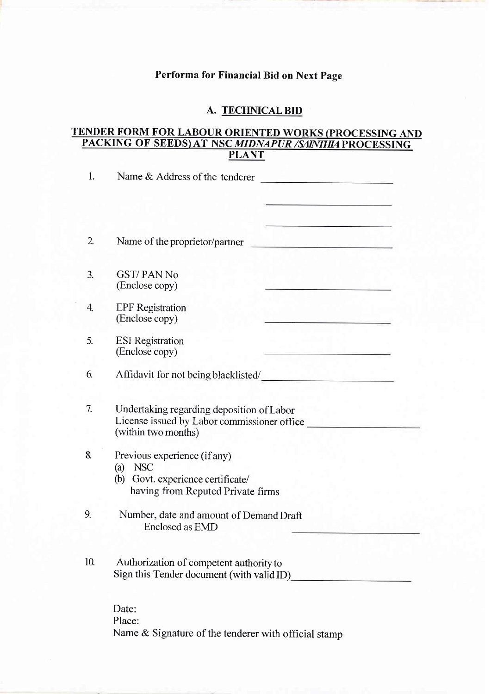## Performa for Financial Bid on Next Page

## A. TECHNICAL BID

#### TENDER FORM FOR LABOUR ORIENTED WORKS (PROCESSING AND PACKING OF SEEDS)AT NSCMIDNAPURI PLANT

| 1.             | Name & Address of the tenderer<br><u> - De Santa de Santa de Santa de Santa de S</u>                            |  |  |
|----------------|-----------------------------------------------------------------------------------------------------------------|--|--|
|                |                                                                                                                 |  |  |
|                |                                                                                                                 |  |  |
| $\mathfrak{2}$ | Name of the proprietor/partner<br><u> 1950 - John Barn Barn, mars a</u>                                         |  |  |
|                |                                                                                                                 |  |  |
| 3.             | <b>GST/PAN No</b><br>(Enclose copy)                                                                             |  |  |
| 4.             | <b>EPF</b> Registration<br>(Enclose copy)                                                                       |  |  |
| 5.             | <b>ESI</b> Registration<br>(Enclose copy)                                                                       |  |  |
| 6.             | Affidavit for not being blacklisted/                                                                            |  |  |
| 7.             | Undertaking regarding deposition of Labor<br>License issued by Labor commissioner office<br>(within two months) |  |  |
| 8.             | Previous experience (if any)<br><b>NSC</b><br>(a)<br>(b) Govt. experience certificate/                          |  |  |
|                | having from Reputed Private firms                                                                               |  |  |
| 9.             | Number, date and amount of Demand Draft<br>Enclosed as EMD                                                      |  |  |
| 10.            | Authorization of competent authority to                                                                         |  |  |
|                | Sign this Tender document (with valid ID)                                                                       |  |  |
|                | Date:                                                                                                           |  |  |
|                | Place:                                                                                                          |  |  |

Name & Signature of the tenderer with official stamp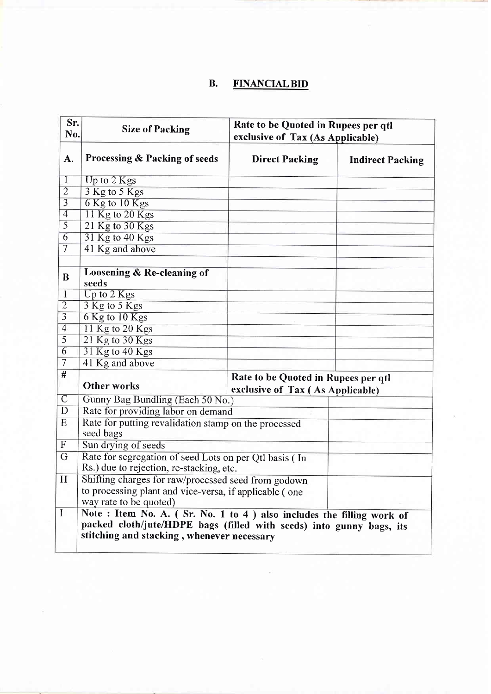# B. FINANCIAL BID

| Sr.<br>No.        | <b>Size of Packing</b>                                                                                             | Rate to be Quoted in Rupees per qtl<br>exclusive of Tax (As Applicable) |                         |  |  |
|-------------------|--------------------------------------------------------------------------------------------------------------------|-------------------------------------------------------------------------|-------------------------|--|--|
| A.                | Processing & Packing of seeds                                                                                      | <b>Direct Packing</b>                                                   | <b>Indirect Packing</b> |  |  |
| $\mathbf{I}$      | Up to 2 Kgs                                                                                                        |                                                                         |                         |  |  |
| $\overline{2}$    | 3 Kg to 5 Kgs                                                                                                      |                                                                         |                         |  |  |
| $\overline{3}$    | 6 Kg to 10 Kgs                                                                                                     |                                                                         |                         |  |  |
| $\overline{4}$    | 11 Kg to 20 Kgs                                                                                                    |                                                                         |                         |  |  |
| $\overline{5}$    | 21 Kg to 30 Kgs                                                                                                    |                                                                         |                         |  |  |
| $\overline{6}$    | 31 Kg to 40 Kgs                                                                                                    |                                                                         |                         |  |  |
| $\overline{\tau}$ | 41 Kg and above                                                                                                    |                                                                         |                         |  |  |
| B                 | Loosening & Re-cleaning of<br>seeds                                                                                |                                                                         |                         |  |  |
| 1                 | Up to 2 Kgs                                                                                                        |                                                                         |                         |  |  |
| $\overline{2}$    | 3 Kg to 5 Kgs                                                                                                      |                                                                         |                         |  |  |
| $\overline{3}$    | 6 Kg to 10 Kgs                                                                                                     |                                                                         |                         |  |  |
| $\overline{4}$    | 11 Kg to 20 Kgs                                                                                                    |                                                                         |                         |  |  |
| $\overline{5}$    | 21 Kg to 30 Kgs                                                                                                    |                                                                         |                         |  |  |
| $\overline{6}$    | 31 Kg to 40 Kgs                                                                                                    |                                                                         |                         |  |  |
| 7                 | 41 Kg and above                                                                                                    |                                                                         |                         |  |  |
| #                 | <b>Other works</b>                                                                                                 | Rate to be Quoted in Rupees per qtl<br>exclusive of Tax (As Applicable) |                         |  |  |
| $\overline{C}$    | Gunny Bag Bundling (Each 50 No.)                                                                                   |                                                                         |                         |  |  |
| D                 | Rate for providing labor on demand                                                                                 |                                                                         |                         |  |  |
| E                 | Rate for putting revalidation stamp on the processed<br>seed bags                                                  |                                                                         |                         |  |  |
| $\boldsymbol{F}$  | Sun drying of seeds                                                                                                |                                                                         |                         |  |  |
| G                 | Rate for segregation of seed Lots on per Qtl basis (In                                                             |                                                                         |                         |  |  |
|                   | Rs.) due to rejection, re-stacking, etc.                                                                           |                                                                         |                         |  |  |
| H                 | Shifting charges for raw/processed seed from godown                                                                |                                                                         |                         |  |  |
|                   | to processing plant and vice-versa, if applicable (one                                                             |                                                                         |                         |  |  |
|                   | way rate to be quoted)                                                                                             |                                                                         |                         |  |  |
| $\mathbf I$       | Note: Item No. A. (Sr. No. 1 to 4) also includes the filling work of                                               |                                                                         |                         |  |  |
|                   | packed cloth/jute/HDPE bags (filled with seeds) into gunny bags, its<br>stitching and stacking, whenever necessary |                                                                         |                         |  |  |